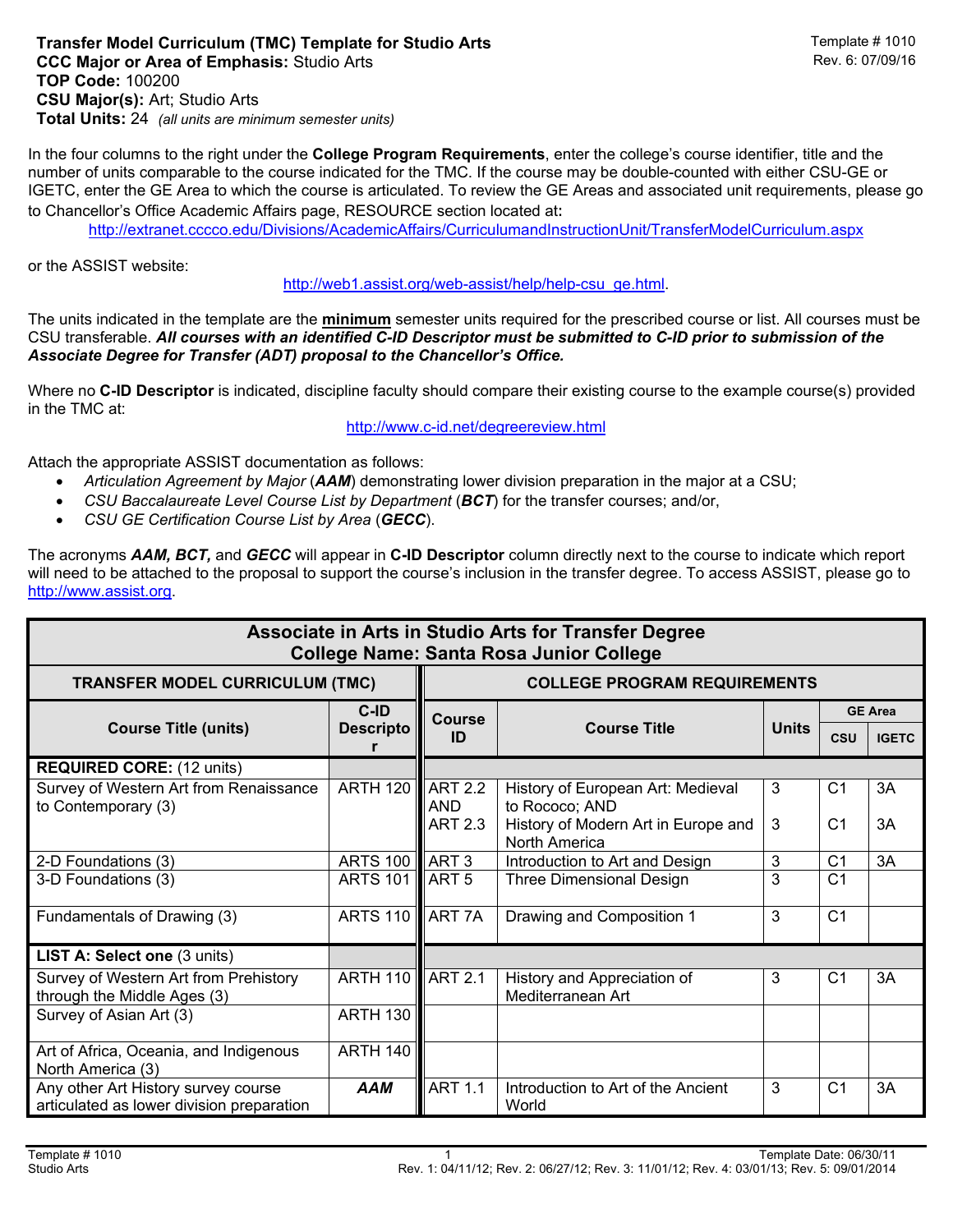In the four columns to the right under the **College Program Requirements**, enter the college's course identifier, title and the number of units comparable to the course indicated for the TMC. If the course may be double-counted with either CSU-GE or IGETC, enter the GE Area to which the course is articulated. To review the GE Areas and associated unit requirements, please go to Chancellor's Office Academic Affairs page, RESOURCE section located at:

http://extranet.cccco.edu/Divisions/AcademicAffairs/CurriculumandInstructionUnit/TransferModelCurriculum.aspx

or the ASSIST website:

http://web1.assist.org/web-assist/help/help-csu\_ge.html.

The units indicated in the template are the **minimum** semester units required for the prescribed course or list. All courses must be CSU transferable. *All courses with an identified C-ID Descriptor must be submitted to C-ID prior to submission of the Associate Degree for Transfer (ADT) proposal to the Chancellor's Office.*

Where no **C-ID Descriptor** is indicated, discipline faculty should compare their existing course to the example course(s) provided in the TMC at:

http://www.c-id.net/degreereview.html

Attach the appropriate ASSIST documentation as follows:

- *Articulation Agreement by Major* (*AAM*) demonstrating lower division preparation in the major at a CSU;
- *CSU Baccalaureate Level Course List by Department* (*BCT*) for the transfer courses; and/or,
- *CSU GE Certification Course List by Area* (*GECC*).

The acronyms *AAM, BCT,* and *GECC* will appear in **C-ID Descriptor** column directly next to the course to indicate which report will need to be attached to the proposal to support the course's inclusion in the transfer degree. To access ASSIST, please go to http://www.assist.org.

| Associate in Arts in Studio Arts for Transfer Degree<br><b>College Name: Santa Rosa Junior College</b> |                                     |                     |                                                      |              |                 |              |  |  |
|--------------------------------------------------------------------------------------------------------|-------------------------------------|---------------------|------------------------------------------------------|--------------|-----------------|--------------|--|--|
| <b>TRANSFER MODEL CURRICULUM (TMC)</b>                                                                 | <b>COLLEGE PROGRAM REQUIREMENTS</b> |                     |                                                      |              |                 |              |  |  |
| <b>Course Title (units)</b>                                                                            | C-ID<br><b>Descripto</b>            | <b>Course</b><br>ID | <b>Course Title</b>                                  | <b>Units</b> | <b>GE Area</b>  |              |  |  |
|                                                                                                        |                                     |                     |                                                      |              | <b>CSU</b>      | <b>IGETC</b> |  |  |
| <b>REQUIRED CORE: (12 units)</b>                                                                       |                                     |                     |                                                      |              |                 |              |  |  |
| Survey of Western Art from Renaissance<br>to Contemporary (3)                                          | ARTH 120 ART 2.2                    | <b>AND</b>          | History of European Art: Medieval<br>to Rococo; AND  | 3            | C <sub>1</sub>  | 3A           |  |  |
|                                                                                                        |                                     | <b>ART 2.3</b>      | History of Modern Art in Europe and<br>North America | 3            | C <sub>1</sub>  | 3A           |  |  |
| 2-D Foundations (3)                                                                                    | <b>ARTS 100 ART 3</b>               |                     | Introduction to Art and Design                       | 3            | C <sub>1</sub>  | 3A           |  |  |
| 3-D Foundations (3)                                                                                    | <b>ARTS 101</b>                     | LART 5              | Three Dimensional Design                             | 3            | $\overline{C1}$ |              |  |  |
| Fundamentals of Drawing (3)                                                                            | ARTS 110 <b>ART 7A</b>              |                     | Drawing and Composition 1                            | 3            | C <sub>1</sub>  |              |  |  |
| <b>LIST A: Select one (3 units)</b>                                                                    |                                     |                     |                                                      |              |                 |              |  |  |
| Survey of Western Art from Prehistory<br>through the Middle Ages (3)                                   | ARTH 110 <b>ART 2.1</b>             |                     | History and Appreciation of<br>Mediterranean Art     | 3            | C <sub>1</sub>  | 3A           |  |  |
| Survey of Asian Art (3)                                                                                | <b>ARTH 130</b>                     |                     |                                                      |              |                 |              |  |  |
| Art of Africa, Oceania, and Indigenous<br>North America (3)                                            | <b>ARTH 140</b>                     |                     |                                                      |              |                 |              |  |  |
| Any other Art History survey course<br>articulated as lower division preparation                       | <b>AAM</b>                          | <b>ART 1.1</b>      | Introduction to Art of the Ancient<br>World          | 3            | C <sub>1</sub>  | 3A           |  |  |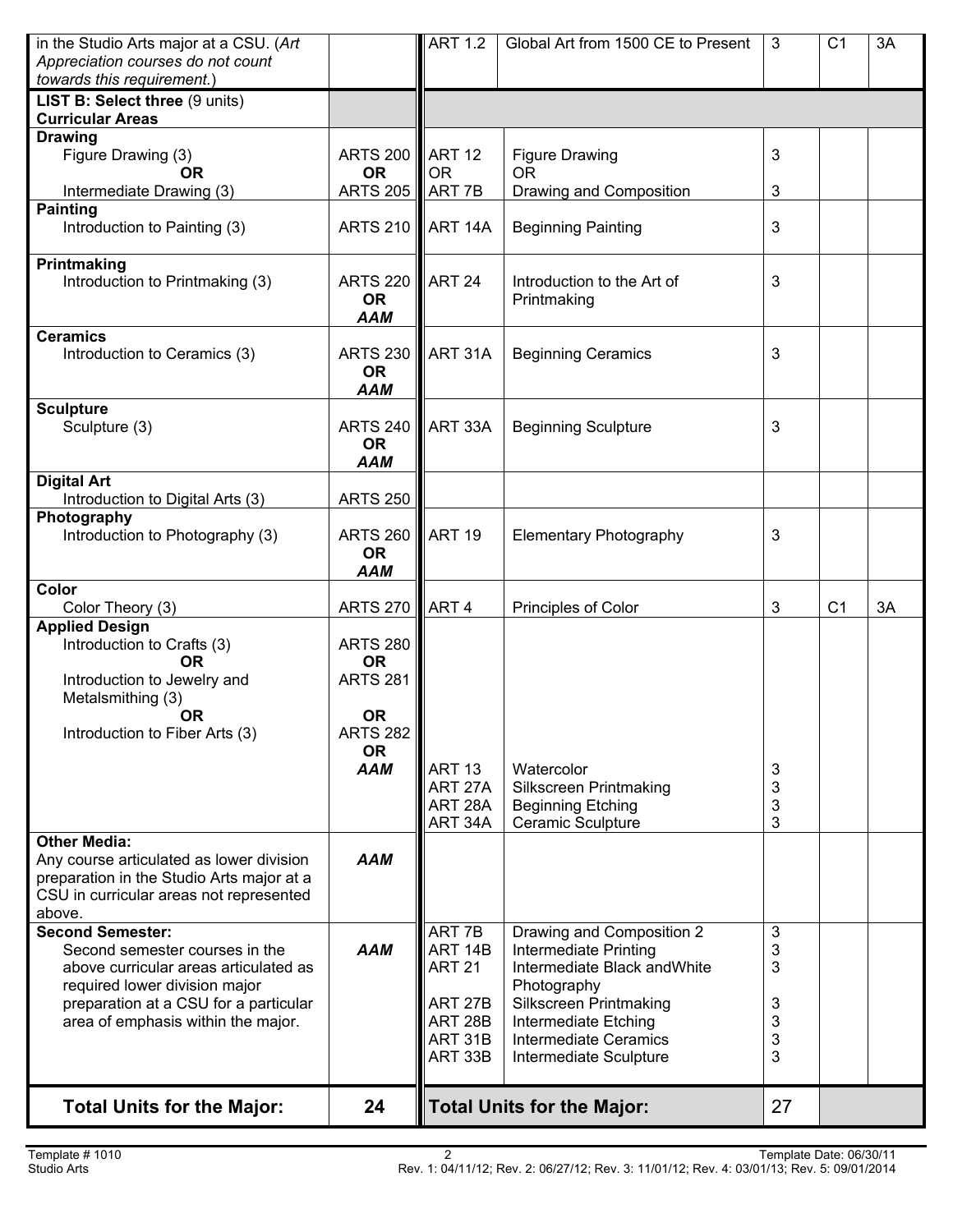| <b>Total Units for the Major:</b>                                                                                                                                                            | 24                                                            |                                                                      | <b>Total Units for the Major:</b>                                                                                                                                                       | 27                         |                |    |
|----------------------------------------------------------------------------------------------------------------------------------------------------------------------------------------------|---------------------------------------------------------------|----------------------------------------------------------------------|-----------------------------------------------------------------------------------------------------------------------------------------------------------------------------------------|----------------------------|----------------|----|
| Second semester courses in the<br>above curricular areas articulated as<br>required lower division major<br>preparation at a CSU for a particular<br>area of emphasis within the major.      | <b>AAM</b>                                                    | ART 14B<br><b>ART 21</b><br>ART 27B<br>ART 28B<br>ART 31B<br>ART 33B | Intermediate Printing<br>Intermediate Black and White<br>Photography<br><b>Silkscreen Printmaking</b><br>Intermediate Etching<br><b>Intermediate Ceramics</b><br>Intermediate Sculpture | 3<br>3<br>3<br>3<br>3<br>3 |                |    |
| <b>Other Media:</b><br>Any course articulated as lower division<br>preparation in the Studio Arts major at a<br>CSU in curricular areas not represented<br>above.<br><b>Second Semester:</b> | <b>AAM</b>                                                    | ART 7B                                                               | Drawing and Composition 2                                                                                                                                                               | 3                          |                |    |
| Metalsmithing (3)<br><b>OR</b><br>Introduction to Fiber Arts (3)                                                                                                                             | <b>OR</b><br><b>ARTS 282</b><br><b>OR</b><br><b>AAM</b>       | <b>ART 13</b><br>ART 27A<br>ART <sub>28</sub> A<br>ART 34A           | Watercolor<br><b>Silkscreen Printmaking</b><br><b>Beginning Etching</b><br>Ceramic Sculpture                                                                                            | 3<br>3<br>3<br>3           |                |    |
| <b>Applied Design</b><br>Introduction to Crafts (3)<br><b>OR</b><br>Introduction to Jewelry and                                                                                              | <b>ARTS 280</b><br><b>OR</b><br><b>ARTS 281</b>               |                                                                      |                                                                                                                                                                                         |                            |                |    |
| Color<br>Color Theory (3)                                                                                                                                                                    | <b>ARTS 270</b>                                               | ART <sub>4</sub>                                                     | Principles of Color                                                                                                                                                                     | 3                          | C <sub>1</sub> | 3A |
| Introduction to Digital Arts (3)<br>Photography<br>Introduction to Photography (3)                                                                                                           | <b>ARTS 250</b><br><b>ARTS 260</b><br><b>OR</b><br><b>AAM</b> | <b>ART 19</b>                                                        | <b>Elementary Photography</b>                                                                                                                                                           | 3                          |                |    |
| <b>Digital Art</b>                                                                                                                                                                           | <b>AAM</b>                                                    |                                                                      |                                                                                                                                                                                         |                            |                |    |
| <b>Sculpture</b><br>Sculpture (3)                                                                                                                                                            | <b>ARTS 240</b><br><b>OR</b>                                  | ART 33A                                                              | <b>Beginning Sculpture</b>                                                                                                                                                              | 3                          |                |    |
| <b>Ceramics</b><br>Introduction to Ceramics (3)                                                                                                                                              | <b>ARTS 230</b><br><b>OR</b><br><b>AAM</b>                    | ART 31A                                                              | <b>Beginning Ceramics</b>                                                                                                                                                               | 3                          |                |    |
| Printmaking<br>Introduction to Printmaking (3)                                                                                                                                               | <b>ARTS 220</b><br><b>OR</b><br><b>AAM</b>                    | ART 24                                                               | Introduction to the Art of<br>Printmaking                                                                                                                                               | 3                          |                |    |
| <b>Painting</b><br>Introduction to Painting (3)                                                                                                                                              | <b>ARTS 210</b>                                               | ART 14A                                                              | <b>Beginning Painting</b>                                                                                                                                                               | 3                          |                |    |
| Figure Drawing (3)<br><b>OR</b><br>Intermediate Drawing (3)                                                                                                                                  | <b>ARTS 200</b><br><b>OR</b><br><b>ARTS 205</b>               | ART <sub>12</sub><br><b>OR</b><br>ART 7B                             | <b>Figure Drawing</b><br><b>OR</b><br>Drawing and Composition                                                                                                                           | 3<br>3                     |                |    |
| <b>Curricular Areas</b><br><b>Drawing</b>                                                                                                                                                    |                                                               |                                                                      |                                                                                                                                                                                         |                            |                |    |
| Appreciation courses do not count<br>towards this requirement.)<br>LIST B: Select three (9 units)                                                                                            |                                                               |                                                                      |                                                                                                                                                                                         |                            |                |    |
| in the Studio Arts major at a CSU. (Art                                                                                                                                                      |                                                               | <b>ART 1.2</b>                                                       | Global Art from 1500 CE to Present                                                                                                                                                      | 3                          | C <sub>1</sub> | 3A |